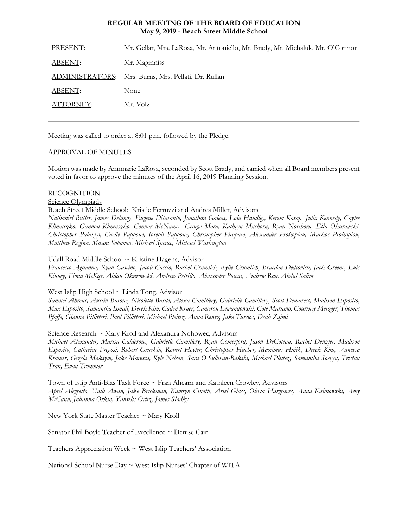### **REGULAR MEETING OF THE BOARD OF EDUCATION May 9, 2019 - Beach Street Middle School**

| PRESENT:        | Mr. Gellar, Mrs. LaRosa, Mr. Antoniello, Mr. Brady, Mr. Michaluk, Mr. O'Connor |
|-----------------|--------------------------------------------------------------------------------|
| <u>ABSENT:</u>  | Mr. Maginniss                                                                  |
| ADMINISTRATORS: | Mrs. Burns, Mrs. Pellati, Dr. Rullan                                           |
| ABSENT:         | None                                                                           |
| ATTORNEY:       | Mr. Volz                                                                       |
|                 |                                                                                |

Meeting was called to order at 8:01 p.m. followed by the Pledge.

### APPROVAL OF MINUTES

Motion was made by Annmarie LaRosa, seconded by Scott Brady, and carried when all Board members present voted in favor to approve the minutes of the April 16, 2019 Planning Session.

### RECOGNITION:

Science Olympiads

Beach Street Middle School: Kristie Ferruzzi and Andrea Miller, Advisors

*Nathaniel Butler, James Delanoy, Eugene Ditaranto, Jonathan Galeas, Lola Handley, Kerem Kasap, Julia Kennedy, Caylee Klimuszko, Gannon Klimuszko, Connor McNamee, George Mora, Kathryn Mushorn, Ryan Northorn, Ella Okurowski, Christopher Palazzo, Caelie Pappone, Joseph Pappone, Christopher Piropato, Alexander Prokopiou, Markos Prokopiou, Matthew Regina, Mason Solomon, Michael Spence, Michael Washington*

### Udall Road Middle School ~ Kristine Hagens, Advisor

*Francesco Aguanno, Ryan Cascino, Jacob Cascio, Rachel Crumlich, Rylie Crumlich, Braedon Dedcovich, Jack Greene, Luis Kinney, Fiona McKay, Aidan Okurowski, Andrew Petrillo, Alexander Poteat, Andrew Rao, Abdul Salim*

# West Islip High School ~ Linda Tong, Advisor

*Samuel Ahrens, Austin Barone, Nicolette Basile, Alexa Camillery, Gabrielle Camillery, Scott Demarest, Madison Esposito, Max Esposito, Samantha Ismail, Derek Kim, Caden Kruer, Cameron Lewandowski, Cole Mariano, Courtney Metzger, Thomas Pfaffe, Gianna Pillitteri, Paul Pillitteri, Michael Pleitez, Anna Rentz, Jake Turcios, Deah Zajmi*

# Science Research ~ Mary Kroll and Alexandra Nohowec, Advisors

*Michael Alexander, Marisa Calderone, Gabrielle Camillery, Ryan Comerford, Jason DeCoteau, Rachel Denzler, Madison Esposito, Catherine Fregosi, Robert Gruskin, Robert Hoyler, Christopher Hueber, Maximus Hujik, Derek Kim, Vanessa Kramer, Gizela Maksym, Jake Maresca, Kyle Nelson, Sara O'Sullivan-Bakshi, Michael Pleitez, Samantha Soevyn, Tristan Tran, Evan Trommer*

Town of Islip Anti-Bias Task Force ~ Fran Ahearn and Kathleen Crowley, Advisors *April Alegretto, Unib Awan, Jake Brickman, Kamryn Cinotti, Ariel Glass, Olivia Hargraves, Anna Kalinowski, Amy McCann, Julianna Orkin, Yanselis Ortiz, James Sladky*

New York State Master Teacher ~ Mary Kroll

Senator Phil Boyle Teacher of Excellence ~ Denise Cain

Teachers Appreciation Week ~ West Islip Teachers' Association

National School Nurse Day ~ West Islip Nurses' Chapter of WITA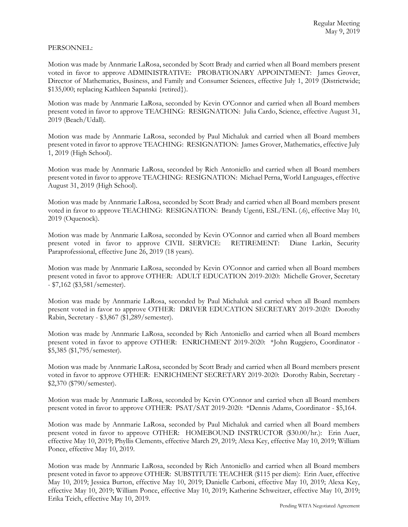### PERSONNEL:

Motion was made by Annmarie LaRosa, seconded by Scott Brady and carried when all Board members present voted in favor to approve ADMINISTRATIVE: PROBATIONARY APPOINTMENT: James Grover, Director of Mathematics, Business, and Family and Consumer Sciences, effective July 1, 2019 (Districtwide; \$135,000; replacing Kathleen Sapanski {retired}).

Motion was made by Annmarie LaRosa, seconded by Kevin O'Connor and carried when all Board members present voted in favor to approve TEACHING: RESIGNATION: Julia Cardo, Science, effective August 31, 2019 (Beach/Udall).

Motion was made by Annmarie LaRosa, seconded by Paul Michaluk and carried when all Board members present voted in favor to approve TEACHING: RESIGNATION: James Grover, Mathematics, effective July 1, 2019 (High School).

Motion was made by Annmarie LaRosa, seconded by Rich Antoniello and carried when all Board members present voted in favor to approve TEACHING: RESIGNATION: Michael Perna, World Languages, effective August 31, 2019 (High School).

Motion was made by Annmarie LaRosa, seconded by Scott Brady and carried when all Board members present voted in favor to approve TEACHING: RESIGNATION: Brandy Ugenti, ESL/ENL (.6), effective May 10, 2019 (Oquenock).

Motion was made by Annmarie LaRosa, seconded by Kevin O'Connor and carried when all Board members present voted in favor to approve CIVIL SERVICE: RETIREMENT: Diane Larkin, Security Paraprofessional, effective June 26, 2019 (18 years).

Motion was made by Annmarie LaRosa, seconded by Kevin O'Connor and carried when all Board members present voted in favor to approve OTHER: ADULT EDUCATION 2019-2020: Michelle Grover, Secretary - \$7,162 (\$3,581/semester).

Motion was made by Annmarie LaRosa, seconded by Paul Michaluk and carried when all Board members present voted in favor to approve OTHER: DRIVER EDUCATION SECRETARY 2019-2020: Dorothy Rabin, Secretary - \$3,867 (\$1,289/semester).

Motion was made by Annmarie LaRosa, seconded by Rich Antoniello and carried when all Board members present voted in favor to approve OTHER: ENRICHMENT 2019-2020: \*John Ruggiero, Coordinator - \$5,385 (\$1,795/semester).

Motion was made by Annmarie LaRosa, seconded by Scott Brady and carried when all Board members present voted in favor to approve OTHER: ENRICHMENT SECRETARY 2019-2020: Dorothy Rabin, Secretary - \$2,370 (\$790/semester).

Motion was made by Annmarie LaRosa, seconded by Kevin O'Connor and carried when all Board members present voted in favor to approve OTHER: PSAT/SAT 2019-2020: \*Dennis Adams, Coordinator - \$5,164.

Motion was made by Annmarie LaRosa, seconded by Paul Michaluk and carried when all Board members present voted in favor to approve OTHER: HOMEBOUND INSTRUCTOR (\$30.00/hr.): Erin Auer, effective May 10, 2019; Phyllis Clements, effective March 29, 2019; Alexa Key, effective May 10, 2019; William Ponce, effective May 10, 2019.

Motion was made by Annmarie LaRosa, seconded by Rich Antoniello and carried when all Board members present voted in favor to approve OTHER: SUBSTITUTE TEACHER (\$115 per diem): Erin Auer, effective May 10, 2019; Jessica Burton, effective May 10, 2019; Danielle Carboni, effective May 10, 2019; Alexa Key, effective May 10, 2019; William Ponce, effective May 10, 2019; Katherine Schweitzer, effective May 10, 2019; Erika Teich, effective May 10, 2019.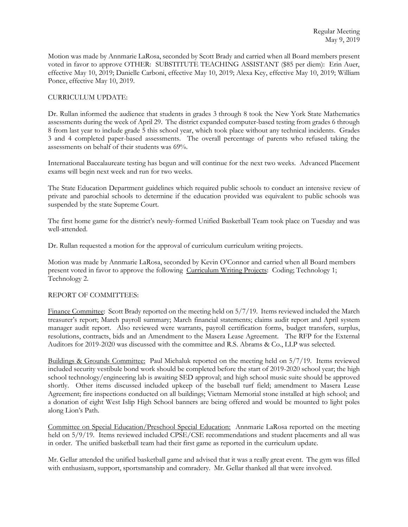Motion was made by Annmarie LaRosa, seconded by Scott Brady and carried when all Board members present voted in favor to approve OTHER: SUBSTITUTE TEACHING ASSISTANT (\$85 per diem): Erin Auer, effective May 10, 2019; Danielle Carboni, effective May 10, 2019; Alexa Key, effective May 10, 2019; William Ponce, effective May 10, 2019.

## CURRICULUM UPDATE:

Dr. Rullan informed the audience that students in grades 3 through 8 took the New York State Mathematics assessments during the week of April 29. The district expanded computer-based testing from grades 6 through 8 from last year to include grade 5 this school year, which took place without any technical incidents. Grades 3 and 4 completed paper-based assessments. The overall percentage of parents who refused taking the assessments on behalf of their students was 69%.

International Baccalaureate testing has begun and will continue for the next two weeks. Advanced Placement exams will begin next week and run for two weeks.

The State Education Department guidelines which required public schools to conduct an intensive review of private and parochial schools to determine if the education provided was equivalent to public schools was suspended by the state Supreme Court.

The first home game for the district's newly-formed Unified Basketball Team took place on Tuesday and was well-attended.

Dr. Rullan requested a motion for the approval of curriculum curriculum writing projects.

Motion was made by Annmarie LaRosa, seconded by Kevin O'Connor and carried when all Board members present voted in favor to approve the following Curriculum Writing Projects: Coding; Technology 1; Technology 2.

#### REPORT OF COMMITTEES:

Finance Committee: Scott Brady reported on the meeting held on 5/7/19. Items reviewed included the March treasurer's report; March payroll summary; March financial statements; claims audit report and April system manager audit report. Also reviewed were warrants, payroll certification forms, budget transfers, surplus, resolutions, contracts, bids and an Amendment to the Masera Lease Agreement. The RFP for the External Auditors for 2019-2020 was discussed with the committee and R.S. Abrams & Co., LLP was selected.

Buildings & Grounds Committee: Paul Michaluk reported on the meeting held on 5/7/19. Items reviewed included security vestibule bond work should be completed before the start of 2019-2020 school year; the high school technology/engineering lab is awaiting SED approval; and high school music suite should be approved shortly. Other items discussed included upkeep of the baseball turf field; amendment to Masera Lease Agreement; fire inspections conducted on all buildings; Vietnam Memorial stone installed at high school; and a donation of eight West Islip High School banners are being offered and would be mounted to light poles along Lion's Path.

Committee on Special Education/Preschool Special Education: Annmarie LaRosa reported on the meeting held on 5/9/19. Items reviewed included CPSE/CSE recommendations and student placements and all was in order. The unified basketball team had their first game as reported in the curriculum update.

Mr. Gellar attended the unified basketball game and advised that it was a really great event. The gym was filled with enthusiasm, support, sportsmanship and comradery. Mr. Gellar thanked all that were involved.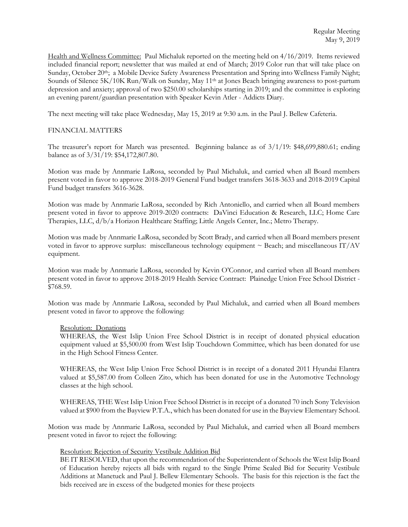Health and Wellness Committee: Paul Michaluk reported on the meeting held on 4/16/2019. Items reviewed included financial report; newsletter that was mailed at end of March; 2019 Color run that will take place on Sunday, October 20th; a Mobile Device Safety Awareness Presentation and Spring into Wellness Family Night; Sounds of Silence 5K/10K Run/Walk on Sunday, May 11<sup>th</sup> at Jones Beach bringing awareness to post-partum depression and anxiety; approval of two \$250.00 scholarships starting in 2019; and the committee is exploring an evening parent/guardian presentation with Speaker Kevin Atler - Addicts Diary.

The next meeting will take place Wednesday, May 15, 2019 at 9:30 a.m. in the Paul J. Bellew Cafeteria.

## FINANCIAL MATTERS

The treasurer's report for March was presented. Beginning balance as of 3/1/19: \$48,699,880.61; ending balance as of 3/31/19: \$54,172,807.80.

Motion was made by Annmarie LaRosa, seconded by Paul Michaluk, and carried when all Board members present voted in favor to approve 2018-2019 General Fund budget transfers 3618-3633 and 2018-2019 Capital Fund budget transfers 3616-3628.

Motion was made by Annmarie LaRosa, seconded by Rich Antoniello, and carried when all Board members present voted in favor to approve 2019-2020 contracts: DaVinci Education & Research, LLC; Home Care Therapies, LLC, d/b/a Horizon Healthcare Staffing; Little Angels Center, Inc.; Metro Therapy.

Motion was made by Annmarie LaRosa, seconded by Scott Brady, and carried when all Board members present voted in favor to approve surplus: miscellaneous technology equipment  $\sim$  Beach; and miscellaneous IT/AV equipment.

Motion was made by Annmarie LaRosa, seconded by Kevin O'Connor, and carried when all Board members present voted in favor to approve 2018-2019 Health Service Contract: Plainedge Union Free School District - \$768.59.

Motion was made by Annmarie LaRosa, seconded by Paul Michaluk, and carried when all Board members present voted in favor to approve the following:

#### Resolution: Donations

WHEREAS, the West Islip Union Free School District is in receipt of donated physical education equipment valued at \$5,500.00 from West Islip Touchdown Committee, which has been donated for use in the High School Fitness Center.

WHEREAS, the West Islip Union Free School District is in receipt of a donated 2011 Hyundai Elantra valued at \$5,587.00 from Colleen Zito, which has been donated for use in the Automotive Technology classes at the high school.

WHEREAS, THE West Islip Union Free School District is in receipt of a donated 70 inch Sony Television valued at \$900 from the Bayview P.T.A., which has been donated for use in the Bayview Elementary School.

Motion was made by Annmarie LaRosa, seconded by Paul Michaluk, and carried when all Board members present voted in favor to reject the following:

#### Resolution: Rejection of Security Vestibule Addition Bid

BE IT RESOLVED, that upon the recommendation of the Superintendent of Schools the West Islip Board of Education hereby rejects all bids with regard to the Single Prime Sealed Bid for Security Vestibule Additions at Manetuck and Paul J. Bellew Elementary Schools. The basis for this rejection is the fact the bids received are in excess of the budgeted monies for these projects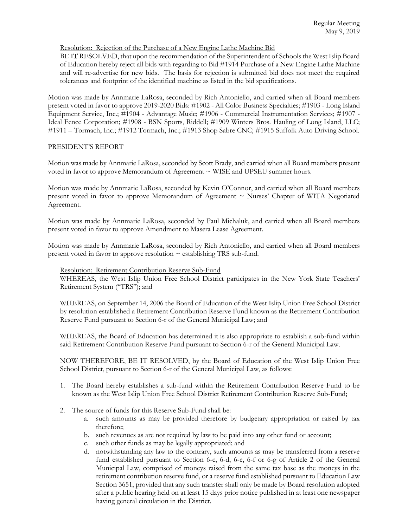# Resolution: Rejection of the Purchase of a New Engine Lathe Machine Bid

BE IT RESOLVED, that upon the recommendation of the Superintendent of Schools the West Islip Board of Education hereby reject all bids with regarding to Bid #1914 Purchase of a New Engine Lathe Machine and will re-advertise for new bids. The basis for rejection is submitted bid does not meet the required tolerances and footprint of the identified machine as listed in the bid specifications.

Motion was made by Annmarie LaRosa, seconded by Rich Antoniello, and carried when all Board members present voted in favor to approve 2019-2020 Bids: #1902 - All Color Business Specialties; #1903 - Long Island Equipment Service, Inc.; #1904 - Advantage Music; #1906 - Commercial Instrumentation Services; #1907 - Ideal Fence Corporation; #1908 - BSN Sports, Riddell; #1909 Winters Bros. Hauling of Long Island, LLC; #1911 – Tormach, Inc.; #1912 Tormach, Inc.; #1913 Shop Sabre CNC; #1915 Suffolk Auto Driving School.

# PRESIDENT'S REPORT

Motion was made by Annmarie LaRosa, seconded by Scott Brady, and carried when all Board members present voted in favor to approve Memorandum of Agreement ~ WISE and UPSEU summer hours.

Motion was made by Annmarie LaRosa, seconded by Kevin O'Connor, and carried when all Board members present voted in favor to approve Memorandum of Agreement ~ Nurses' Chapter of WITA Negotiated Agreement.

Motion was made by Annmarie LaRosa, seconded by Paul Michaluk, and carried when all Board members present voted in favor to approve Amendment to Masera Lease Agreement.

Motion was made by Annmarie LaRosa, seconded by Rich Antoniello, and carried when all Board members present voted in favor to approve resolution  $\sim$  establishing TRS sub-fund.

# Resolution: Retirement Contribution Reserve Sub-Fund

WHEREAS, the West Islip Union Free School District participates in the New York State Teachers' Retirement System ("TRS"); and

WHEREAS, on September 14, 2006 the Board of Education of the West Islip Union Free School District by resolution established a Retirement Contribution Reserve Fund known as the Retirement Contribution Reserve Fund pursuant to Section 6-r of the General Municipal Law; and

WHEREAS, the Board of Education has determined it is also appropriate to establish a sub-fund within said Retirement Contribution Reserve Fund pursuant to Section 6-r of the General Municipal Law.

NOW THEREFORE, BE IT RESOLVED, by the Board of Education of the West Islip Union Free School District, pursuant to Section 6-r of the General Municipal Law, as follows:

- 1. The Board hereby establishes a sub-fund within the Retirement Contribution Reserve Fund to be known as the West Islip Union Free School District Retirement Contribution Reserve Sub-Fund;
- 2. The source of funds for this Reserve Sub-Fund shall be:
	- a. such amounts as may be provided therefore by budgetary appropriation or raised by tax therefore;
	- b. such revenues as are not required by law to be paid into any other fund or account;
	- c. such other funds as may be legally appropriated; and
	- d. notwithstanding any law to the contrary, such amounts as may be transferred from a reserve fund established pursuant to Section 6-c, 6-d, 6-e, 6-f or 6-g of Article 2 of the General Municipal Law, comprised of moneys raised from the same tax base as the moneys in the retirement contribution reserve fund, or a reserve fund established pursuant to Education Law Section 3651, provided that any such transfer shall only be made by Board resolution adopted after a public hearing held on at least 15 days prior notice published in at least one newspaper having general circulation in the District.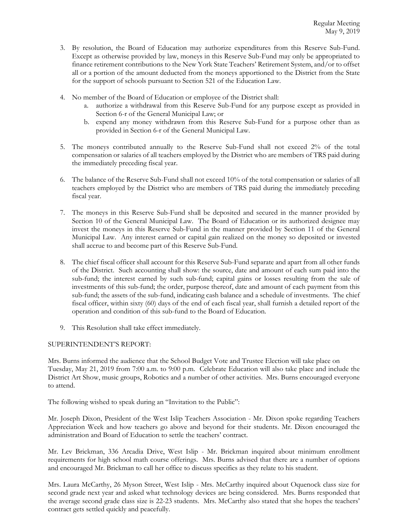- 3. By resolution, the Board of Education may authorize expenditures from this Reserve Sub-Fund. Except as otherwise provided by law, moneys in this Reserve Sub-Fund may only be appropriated to finance retirement contributions to the New York State Teachers' Retirement System, and/or to offset all or a portion of the amount deducted from the moneys apportioned to the District from the State for the support of schools pursuant to Section 521 of the Education Law.
- 4. No member of the Board of Education or employee of the District shall:
	- a. authorize a withdrawal from this Reserve Sub-Fund for any purpose except as provided in Section 6-r of the General Municipal Law; or
	- b. expend any money withdrawn from this Reserve Sub-Fund for a purpose other than as provided in Section 6-r of the General Municipal Law.
- 5. The moneys contributed annually to the Reserve Sub-Fund shall not exceed 2% of the total compensation or salaries of all teachers employed by the District who are members of TRS paid during the immediately preceding fiscal year.
- 6. The balance of the Reserve Sub-Fund shall not exceed 10% of the total compensation or salaries of all teachers employed by the District who are members of TRS paid during the immediately preceding fiscal year.
- 7. The moneys in this Reserve Sub-Fund shall be deposited and secured in the manner provided by Section 10 of the General Municipal Law. The Board of Education or its authorized designee may invest the moneys in this Reserve Sub-Fund in the manner provided by Section 11 of the General Municipal Law. Any interest earned or capital gain realized on the money so deposited or invested shall accrue to and become part of this Reserve Sub-Fund.
- 8. The chief fiscal officer shall account for this Reserve Sub-Fund separate and apart from all other funds of the District. Such accounting shall show: the source, date and amount of each sum paid into the sub-fund; the interest earned by such sub-fund; capital gains or losses resulting from the sale of investments of this sub-fund; the order, purpose thereof, date and amount of each payment from this sub-fund; the assets of the sub-fund, indicating cash balance and a schedule of investments. The chief fiscal officer, within sixty (60) days of the end of each fiscal year, shall furnish a detailed report of the operation and condition of this sub-fund to the Board of Education.
- 9. This Resolution shall take effect immediately.

# SUPERINTENDENT'S REPORT:

Mrs. Burns informed the audience that the School Budget Vote and Trustee Election will take place on Tuesday, May 21, 2019 from 7:00 a.m. to 9:00 p.m. Celebrate Education will also take place and include the District Art Show, music groups, Robotics and a number of other activities. Mrs. Burns encouraged everyone to attend.

The following wished to speak during an "Invitation to the Public":

Mr. Joseph Dixon, President of the West Islip Teachers Association - Mr. Dixon spoke regarding Teachers Appreciation Week and how teachers go above and beyond for their students. Mr. Dixon encouraged the administration and Board of Education to settle the teachers' contract.

Mr. Lev Brickman, 336 Arcadia Drive, West Islip - Mr. Brickman inquired about minimum enrollment requirements for high school math course offerings. Mrs. Burns advised that there are a number of options and encouraged Mr. Brickman to call her office to discuss specifics as they relate to his student.

Mrs. Laura McCarthy, 26 Myson Street, West Islip - Mrs. McCarthy inquired about Oquenock class size for second grade next year and asked what technology devices are being considered. Mrs. Burns responded that the average second grade class size is 22-23 students. Mrs. McCarthy also stated that she hopes the teachers' contract gets settled quickly and peacefully.